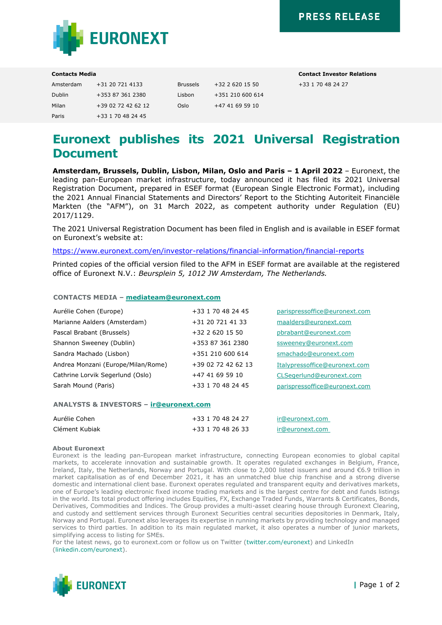

| Amsterdam | +31 20 721 4133    | <b>Brussels</b> | $+32$ 2 620 15 50 |
|-----------|--------------------|-----------------|-------------------|
| Dublin    | +353 87 361 2380   | Lisbon          | +351 210 600 614  |
| Milan     | +39 02 72 42 62 12 | Oslo            | +47 41 69 59 10   |
| Paris     | +33 1 70 48 24 45  |                 |                   |

**Contacts Media Contact Investor Relations** Amsterdam +31 20 721 4133 Brussels +32 2 620 15 50 +33 1 70 48 24 27

# **Euronext publishes its 2021 Universal Registration Document**

**Amsterdam, Brussels, Dublin, Lisbon, Milan, Oslo and Paris – 1 April 2022** – Euronext, the leading pan-European market infrastructure, today announced it has filed its 2021 Universal Registration Document, prepared in ESEF format (European Single Electronic Format), including the 2021 Annual Financial Statements and Directors' Report to the Stichting Autoriteit Financiële Markten (the "AFM"), on 31 March 2022, as competent authority under Regulation (EU) 2017/1129.

The 2021 Universal Registration Document has been filed in English and is available in ESEF format on Euronext's website at:

<https://www.euronext.com/en/investor-relations/financial-information/financial-reports>

Printed copies of the official version filed to the AFM in ESEF format are available at the registered office of Euronext N.V.: *Beursplein 5, 1012 JW Amsterdam, The Netherlands.*

# **CONTACTS MEDIA – [mediateam@euronext.com](mailto:mediateam@euronext.com)**

| Aurélie Cohen (Europe)             | +33 1 70 48 24 45  | parispressoffice@euronext.com |
|------------------------------------|--------------------|-------------------------------|
| Marianne Aalders (Amsterdam)       | +31 20 721 41 33   | maalders@euronext.com         |
| Pascal Brabant (Brussels)          | $+32$ 2 620 15 50  | pbrabant@euronext.com         |
| Shannon Sweeney (Dublin)           | +353 87 361 2380   | ssweeney@euronext.com         |
| Sandra Machado (Lisbon)            | +351 210 600 614   | smachado@euronext.com         |
| Andrea Monzani (Europe/Milan/Rome) | +39 02 72 42 62 13 | Italypressoffice@euronext.com |
| Cathrine Lorvik Segerlund (Oslo)   | +47 41 69 59 10    | CLSegerlund@euronext.com      |
| Sarah Mound (Paris)                | +33 1 70 48 24 45  | parispressoffice@euronext.com |

## **ANALYSTS & INVESTORS – [ir@euronext.com](mailto:ir@euronext.com)**

| Aurélie Cohen  | +33 1 70 48 24 27 | ir@euronext.com |
|----------------|-------------------|-----------------|
| Clément Kubiak | +33 1 70 48 26 33 | ir@euronext.com |

### **About Euronext**

Euronext is the leading pan-European market infrastructure, connecting European economies to global capital markets, to accelerate innovation and sustainable growth. It operates regulated exchanges in Belgium, France, Ireland, Italy, the Netherlands, Norway and Portugal. With close to 2,000 listed issuers and around €6.9 trillion in market capitalisation as of end December 2021, it has an unmatched blue chip franchise and a strong diverse domestic and international client base. Euronext operates regulated and transparent equity and derivatives markets, one of Europe's leading electronic fixed income trading markets and is the largest centre for debt and funds listings in the world. Its total product offering includes Equities, FX, Exchange Traded Funds, Warrants & Certificates, Bonds, Derivatives, Commodities and Indices. The Group provides a multi-asset clearing house through Euronext Clearing, and custody and settlement services through Euronext Securities central securities depositories in Denmark, Italy, Norway and Portugal. Euronext also leverages its expertise in running markets by providing technology and managed services to third parties. In addition to its main regulated market, it also operates a number of junior markets, simplifying access to listing for SMEs.

For the latest news, go to euronext.com or follow us on Twitter [\(twitter.com/euronext\)](https://twitter.com/euronext) and LinkedIn [\(linkedin.com/euronext\)](https://www.linkedin.com/company/euronext/).